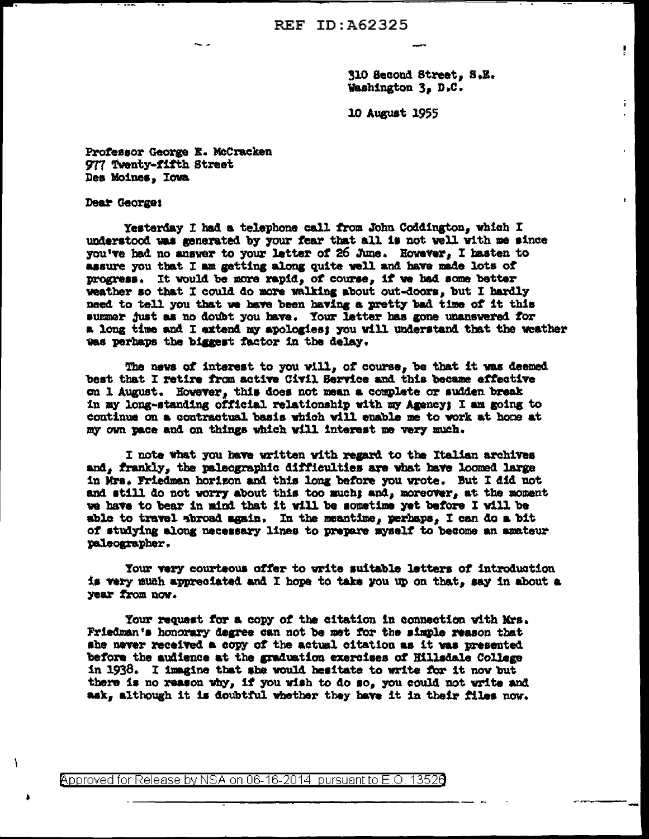**REF ID: A62325** 

310 Second Street, S.E. Washington 3, D.C.

ţ

ï.

10 August 1955

Professor George E. McCracken 977 Twenty-fifth Street Des Moines, Iowa

Dear George:

Ì

Yesterday I had a telephone call from John Coddington, which I understood was generated by your fear that all is not well with me since you've had no answer to your letter of 26 June. However, I hasten to assure you that I am getting along quite well and have made lots of progress. It would be more rapid, of course, if we had some better weather so that I could do more walking about out-doors, but I hardly need to tell you that we have been having a pretty bad time of it this summer just as no doubt you have. Your letter has gone unanswered for a long time and I extend my apologies; you will understand that the weather was perhaps the biggest factor in the delay.

The news of interest to you will, of course, be that it was deemed best that I retire from active Civil Service and this became effective on 1 August. However, this does not mean a complete or sudden break in my long-standing official relationship with my Agency; I am going to continue on a contractual basis which will enable me to work at home at my own pace and on things which will interest me very much.

I note what you have written with regard to the Italian archives and. frankly, the paleographic difficulties are what have loomed large in Mrs. Friedman horizon and this long before you wrote. But I did not and still do not worry about this too much; and, moreover, at the moment we have to bear in mind that it will be sometime yet before I will be able to travel abroad again. In the meantime, perhaps, I can do a bit of studying along necessary lines to prepare myself to become an amateur paleographer.

Your very courteous offer to write suitable letters of introduction is very much appreciated and I hope to take you up on that, say in about a year from now.

Your request for a copy of the citation in connection with Mrs. Friedman's honorary degree can not be met for the simple reason that she never received a copy of the actual citation as it was presented before the audience at the graduation exercises of Hillsdale College in 1938. I imagine that she would hesitate to write for it now but there is no reason why, if you wish to do so, you could not write and ask, although it is doubtful whether they have it in their files now.